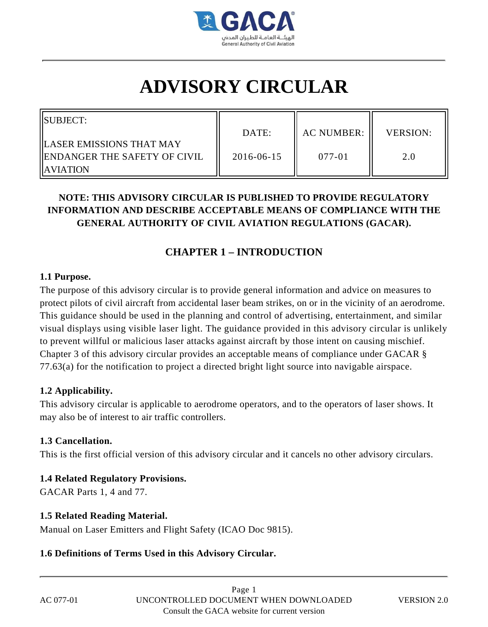

# **ADVISORY CIRCULAR**

| SUBJECT:                      |            |                   |                 |
|-------------------------------|------------|-------------------|-----------------|
|                               | DATE:      | <b>AC NUMBER:</b> | <b>VERSION:</b> |
| ILASER EMISSIONS THAT MAY     |            |                   |                 |
| IENDANGER THE SAFETY OF CIVIL | 2016-06-15 | 077-01            | 2.0             |
| <b>IIAVIATION</b>             |            |                   |                 |

# **NOTE: THIS ADVISORY CIRCULAR IS PUBLISHED TO PROVIDE REGULATORY INFORMATION AND DESCRIBE ACCEPTABLE MEANS OF COMPLIANCE WITH THE GENERAL AUTHORITY OF CIVIL AVIATION REGULATIONS (GACAR).**

# **CHAPTER 1 – INTRODUCTION**

#### **1.1 Purpose.**

The purpose of this advisory circular is to provide general information and advice on measures to protect pilots of civil aircraft from accidental laser beam strikes, on or in the vicinity of an aerodrome. This guidance should be used in the planning and control of advertising, entertainment, and similar visual displays using visible laser light. The guidance provided in this advisory circular is unlikely to prevent willful or malicious laser attacks against aircraft by those intent on causing mischief. Chapter 3 of this advisory circular provides an acceptable means of compliance under GACAR § 77.63(a) for the notification to project a directed bright light source into navigable airspace.

## **1.2 Applicability.**

This advisory circular is applicable to aerodrome operators, and to the operators of laser shows. It may also be of interest to air traffic controllers.

## **1.3 Cancellation.**

This is the first official version of this advisory circular and it cancels no other advisory circulars.

## **1.4 Related Regulatory Provisions.**

GACAR Parts 1, 4 and 77.

## **1.5 Related Reading Material.**

Manual on Laser Emitters and Flight Safety (ICAO Doc 9815).

## **1.6 Definitions of Terms Used in this Advisory Circular.**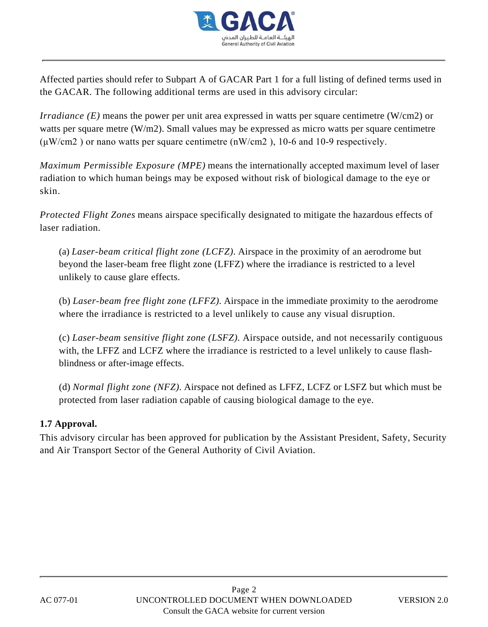

Affected parties should refer to Subpart A of GACAR Part 1 for a full listing of defined terms used in the GACAR. The following additional terms are used in this advisory circular:

*Irradiance (E)* means the power per unit area expressed in watts per square centimetre (W/cm2) or watts per square metre (W/m2). Small values may be expressed as micro watts per square centimetre  $(\mu W/cm2)$  or nano watts per square centimetre (nW/cm2), 10-6 and 10-9 respectively.

*Maximum Permissible Exposure (MPE)* means the internationally accepted maximum level of laser radiation to which human beings may be exposed without risk of biological damage to the eye or skin.

*Protected Flight Zones* means airspace specifically designated to mitigate the hazardous effects of laser radiation.

(a) *Laser-beam critical flight zone (LCFZ)*. Airspace in the proximity of an aerodrome but beyond the laser-beam free flight zone (LFFZ) where the irradiance is restricted to a level unlikely to cause glare effects.

(b) *Laser-beam free flight zone (LFFZ)*. Airspace in the immediate proximity to the aerodrome where the irradiance is restricted to a level unlikely to cause any visual disruption.

(c) *Laser-beam sensitive flight zone (LSFZ)*. Airspace outside, and not necessarily contiguous with, the LFFZ and LCFZ where the irradiance is restricted to a level unlikely to cause flashblindness or after-image effects.

(d) *Normal flight zone (NFZ)*. Airspace not defined as LFFZ, LCFZ or LSFZ but which must be protected from laser radiation capable of causing biological damage to the eye.

## **1.7 Approval.**

This advisory circular has been approved for publication by the Assistant President, Safety, Security and Air Transport Sector of the General Authority of Civil Aviation.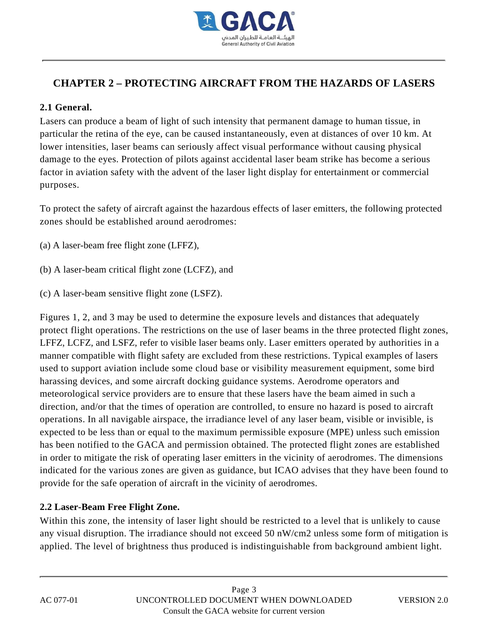

# **CHAPTER 2 – PROTECTING AIRCRAFT FROM THE HAZARDS OF LASERS**

## **2.1 General.**

Lasers can produce a beam of light of such intensity that permanent damage to human tissue, in particular the retina of the eye, can be caused instantaneously, even at distances of over 10 km. At lower intensities, laser beams can seriously affect visual performance without causing physical damage to the eyes. Protection of pilots against accidental laser beam strike has become a serious factor in aviation safety with the advent of the laser light display for entertainment or commercial purposes.

To protect the safety of aircraft against the hazardous effects of laser emitters, the following protected zones should be established around aerodromes:

- (a) A laser-beam free flight zone (LFFZ),
- (b) A laser-beam critical flight zone (LCFZ), and
- (c) A laser-beam sensitive flight zone (LSFZ).

Figures 1, 2, and 3 may be used to determine the exposure levels and distances that adequately protect flight operations. The restrictions on the use of laser beams in the three protected flight zones, LFFZ, LCFZ, and LSFZ, refer to visible laser beams only. Laser emitters operated by authorities in a manner compatible with flight safety are excluded from these restrictions. Typical examples of lasers used to support aviation include some cloud base or visibility measurement equipment, some bird harassing devices, and some aircraft docking guidance systems. Aerodrome operators and meteorological service providers are to ensure that these lasers have the beam aimed in such a direction, and/or that the times of operation are controlled, to ensure no hazard is posed to aircraft operations. In all navigable airspace, the irradiance level of any laser beam, visible or invisible, is expected to be less than or equal to the maximum permissible exposure (MPE) unless such emission has been notified to the GACA and permission obtained. The protected flight zones are established in order to mitigate the risk of operating laser emitters in the vicinity of aerodromes. The dimensions indicated for the various zones are given as guidance, but ICAO advises that they have been found to provide for the safe operation of aircraft in the vicinity of aerodromes.

## **2.2 Laser-Beam Free Flight Zone.**

Within this zone, the intensity of laser light should be restricted to a level that is unlikely to cause any visual disruption. The irradiance should not exceed 50 nW/cm2 unless some form of mitigation is applied. The level of brightness thus produced is indistinguishable from background ambient light.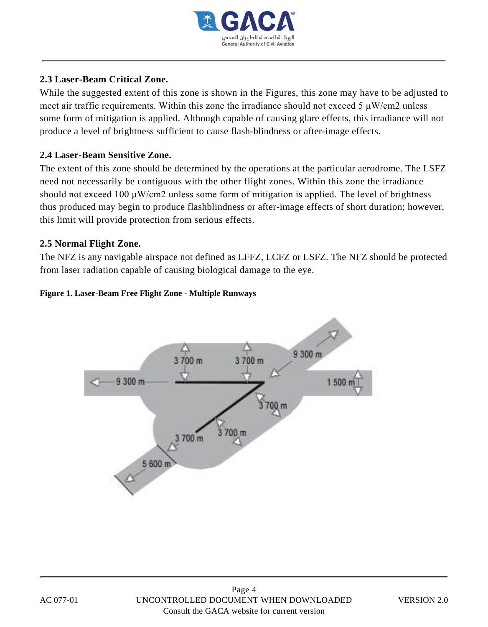

## **2.3 Laser-Beam Critical Zone.**

While the suggested extent of this zone is shown in the Figures, this zone may have to be adjusted to meet air traffic requirements. Within this zone the irradiance should not exceed 5  $\mu$ W/cm2 unless some form of mitigation is applied. Although capable of causing glare effects, this irradiance will not produce a level of brightness sufficient to cause flash-blindness or after-image effects.

## **2.4 Laser-Beam Sensitive Zone.**

The extent of this zone should be determined by the operations at the particular aerodrome. The LSFZ need not necessarily be contiguous with the other flight zones. Within this zone the irradiance should not exceed 100 μW/cm2 unless some form of mitigation is applied. The level of brightness thus produced may begin to produce flashblindness or after-image effects of short duration; however, this limit will provide protection from serious effects.

#### **2.5 Normal Flight Zone.**

The NFZ is any navigable airspace not defined as LFFZ, LCFZ or LSFZ. The NFZ should be protected from laser radiation capable of causing biological damage to the eye.

#### **Figure 1. Laser-Beam Free Flight Zone - Multiple Runways**

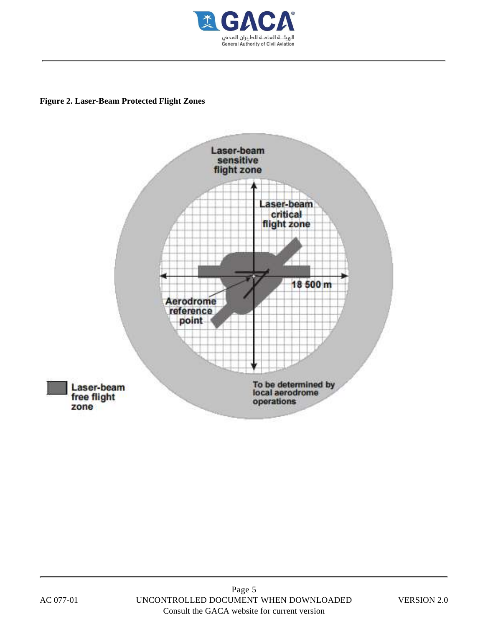

**Figure 2. Laser-Beam Protected Flight Zones**

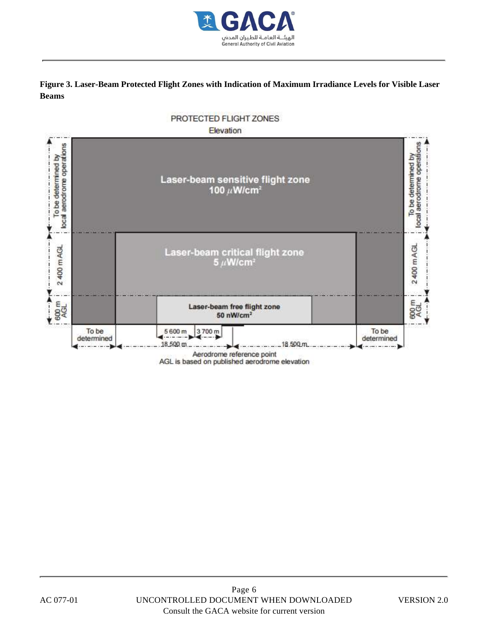

#### **Figure 3. Laser-Beam Protected Flight Zones with Indication of Maximum Irradiance Levels for Visible Laser Beams**

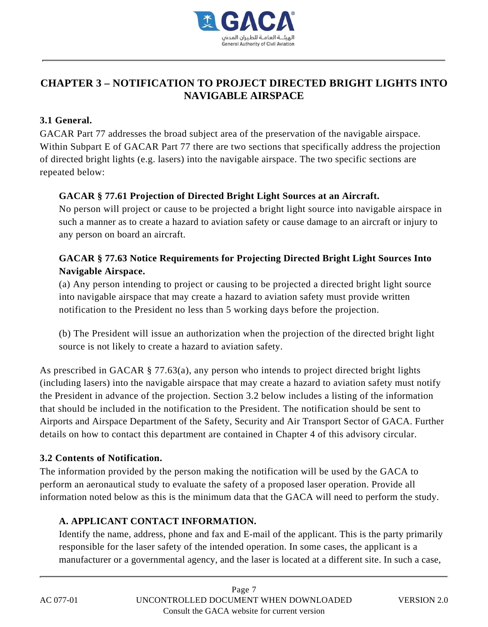

# **CHAPTER 3 – NOTIFICATION TO PROJECT DIRECTED BRIGHT LIGHTS INTO NAVIGABLE AIRSPACE**

## **3.1 General.**

GACAR Part 77 addresses the broad subject area of the preservation of the navigable airspace. Within Subpart E of GACAR Part 77 there are two sections that specifically address the projection of directed bright lights (e.g. lasers) into the navigable airspace. The two specific sections are repeated below:

## **GACAR § 77.61 Projection of Directed Bright Light Sources at an Aircraft.**

No person will project or cause to be projected a bright light source into navigable airspace in such a manner as to create a hazard to aviation safety or cause damage to an aircraft or injury to any person on board an aircraft.

## **GACAR § 77.63 Notice Requirements for Projecting Directed Bright Light Sources Into Navigable Airspace.**

(a) Any person intending to project or causing to be projected a directed bright light source into navigable airspace that may create a hazard to aviation safety must provide written notification to the President no less than 5 working days before the projection.

(b) The President will issue an authorization when the projection of the directed bright light source is not likely to create a hazard to aviation safety.

As prescribed in GACAR § 77.63(a), any person who intends to project directed bright lights (including lasers) into the navigable airspace that may create a hazard to aviation safety must notify the President in advance of the projection. Section 3.2 below includes a listing of the information that should be included in the notification to the President. The notification should be sent to Airports and Airspace Department of the Safety, Security and Air Transport Sector of GACA. Further details on how to contact this department are contained in Chapter 4 of this advisory circular.

## **3.2 Contents of Notification.**

The information provided by the person making the notification will be used by the GACA to perform an aeronautical study to evaluate the safety of a proposed laser operation. Provide all information noted below as this is the minimum data that the GACA will need to perform the study.

## **A. APPLICANT CONTACT INFORMATION.**

Identify the name, address, phone and fax and E-mail of the applicant. This is the party primarily responsible for the laser safety of the intended operation. In some cases, the applicant is a manufacturer or a governmental agency, and the laser is located at a different site. In such a case,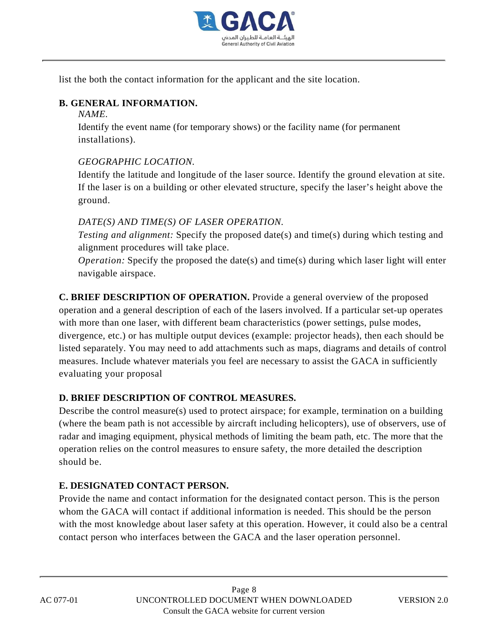

list the both the contact information for the applicant and the site location.

## **B. GENERAL INFORMATION.**

#### *NAME.*

Identify the event name (for temporary shows) or the facility name (for permanent installations).

## *GEOGRAPHIC LOCATION.*

Identify the latitude and longitude of the laser source. Identify the ground elevation at site. If the laser is on a building or other elevated structure, specify the laser's height above the ground.

## *DATE(S) AND TIME(S) OF LASER OPERATION.*

*Testing and alignment:* Specify the proposed date(s) and time(s) during which testing and alignment procedures will take place.

*Operation:* Specify the proposed the date(s) and time(s) during which laser light will enter navigable airspace.

**C. BRIEF DESCRIPTION OF OPERATION.** Provide a general overview of the proposed operation and a general description of each of the lasers involved. If a particular set-up operates with more than one laser, with different beam characteristics (power settings, pulse modes, divergence, etc.) or has multiple output devices (example: projector heads), then each should be listed separately. You may need to add attachments such as maps, diagrams and details of control measures. Include whatever materials you feel are necessary to assist the GACA in sufficiently evaluating your proposal

# **D. BRIEF DESCRIPTION OF CONTROL MEASURES.**

Describe the control measure(s) used to protect airspace; for example, termination on a building (where the beam path is not accessible by aircraft including helicopters), use of observers, use of radar and imaging equipment, physical methods of limiting the beam path, etc. The more that the operation relies on the control measures to ensure safety, the more detailed the description should be.

# **E. DESIGNATED CONTACT PERSON.**

Provide the name and contact information for the designated contact person. This is the person whom the GACA will contact if additional information is needed. This should be the person with the most knowledge about laser safety at this operation. However, it could also be a central contact person who interfaces between the GACA and the laser operation personnel.